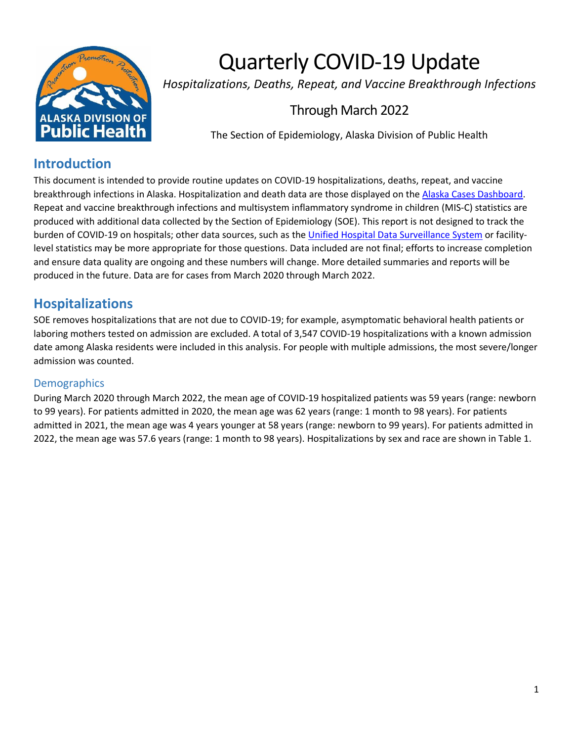

# Quarterly COVID-19 Update

*Hospitalizations, Deaths, Repeat, and Vaccine Breakthrough Infections*

# Through March 2022

The Section of Epidemiology, Alaska Division of Public Health

# **Introduction**

This document is intended to provide routine updates on COVID-19 hospitalizations, deaths, repeat, and vaccine breakthrough infections in Alaska. Hospitalization and death data are those displayed on the [Alaska Cases Dashboard.](https://alaska-coronavirus-vaccine-outreach-alaska-dhss.hub.arcgis.com/) Repeat and vaccine breakthrough infections and multisystem inflammatory syndrome in children (MIS-C) statistics are produced with additional data collected by the Section of Epidemiology (SOE). This report is not designed to track the burden of COVID-19 on hospitals; other data sources, such as th[e Unified Hospital Data Surveillance System](https://protect-public.hhs.gov/) or facilitylevel statistics may be more appropriate for those questions. Data included are not final; efforts to increase completion and ensure data quality are ongoing and these numbers will change. More detailed summaries and reports will be produced in the future. Data are for cases from March 2020 through March 2022.

# **Hospitalizations**

SOE removes hospitalizations that are not due to COVID-19; for example, asymptomatic behavioral health patients or laboring mothers tested on admission are excluded. A total of 3,547 COVID-19 hospitalizations with a known admission date among Alaska residents were included in this analysis. For people with multiple admissions, the most severe/longer admission was counted.

# **Demographics**

During March 2020 through March 2022, the mean age of COVID-19 hospitalized patients was 59 years (range: newborn to 99 years). For patients admitted in 2020, the mean age was 62 years (range: 1 month to 98 years). For patients admitted in 2021, the mean age was 4 years younger at 58 years (range: newborn to 99 years). For patients admitted in 2022, the mean age was 57.6 years (range: 1 month to 98 years). Hospitalizations by sex and race are shown in Table 1.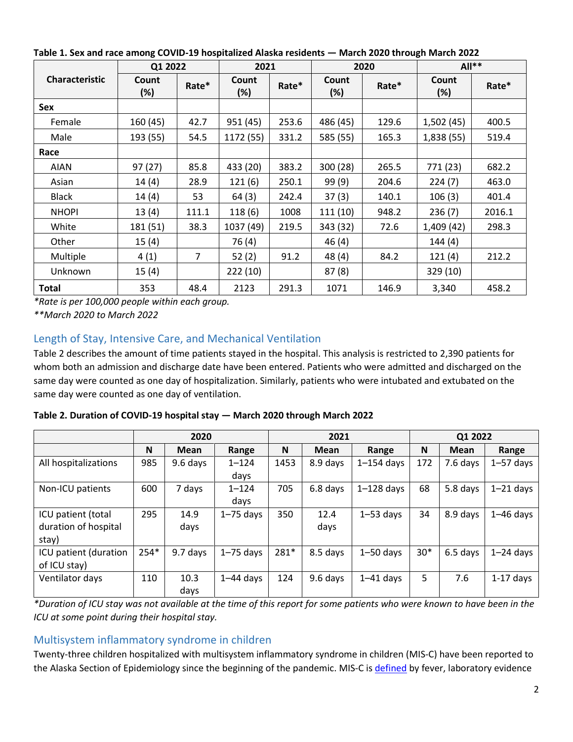|                       | Q1 2022                |       | 2021            |       |              | 2020  | $All**$         |        |
|-----------------------|------------------------|-------|-----------------|-------|--------------|-------|-----------------|--------|
| <b>Characteristic</b> | <b>Count</b><br>$(\%)$ | Rate* | Count<br>$(\%)$ | Rate* | Count<br>(%) | Rate* | Count<br>$(\%)$ | Rate*  |
| <b>Sex</b>            |                        |       |                 |       |              |       |                 |        |
| Female                | 160 (45)               | 42.7  | 951 (45)        | 253.6 | 486 (45)     | 129.6 | 1,502(45)       | 400.5  |
| Male                  | 193 (55)               | 54.5  | 1172 (55)       | 331.2 | 585 (55)     | 165.3 | 1,838 (55)      | 519.4  |
| Race                  |                        |       |                 |       |              |       |                 |        |
| <b>AIAN</b>           | 97(27)                 | 85.8  | 433 (20)        | 383.2 | 300 (28)     | 265.5 | 771 (23)        | 682.2  |
| Asian                 | 14(4)                  | 28.9  | 121(6)          | 250.1 | 99(9)        | 204.6 | 224(7)          | 463.0  |
| <b>Black</b>          | 14(4)                  | 53    | 64(3)           | 242.4 | 37(3)        | 140.1 | 106(3)          | 401.4  |
| <b>NHOPI</b>          | 13(4)                  | 111.1 | 118(6)          | 1008  | 111(10)      | 948.2 | 236(7)          | 2016.1 |
| White                 | 181 (51)               | 38.3  | 1037 (49)       | 219.5 | 343 (32)     | 72.6  | 1,409 (42)      | 298.3  |
| Other                 | 15(4)                  |       | 76 (4)          |       | 46(4)        |       | 144(4)          |        |
| Multiple              | 4(1)                   | 7     | 52(2)           | 91.2  | 48(4)        | 84.2  | 121(4)          | 212.2  |
| Unknown               | 15(4)                  |       | 222(10)         |       | 87(8)        |       | 329 (10)        |        |
| <b>Total</b>          | 353                    | 48.4  | 2123            | 291.3 | 1071         | 146.9 | 3,340           | 458.2  |

**Table 1. Sex and race among COVID-19 hospitalized Alaska residents — March 2020 through March 2022**

*\*Rate is per 100,000 people within each group.*

*\*\*March 2020 to March 2022*

# Length of Stay, Intensive Care, and Mechanical Ventilation

Table 2 describes the amount of time patients stayed in the hospital. This analysis is restricted to 2,390 patients for whom both an admission and discharge date have been entered. Patients who were admitted and discharged on the same day were counted as one day of hospitalization. Similarly, patients who were intubated and extubated on the same day were counted as one day of ventilation.

| Table 2. Duration of COVID-19 hospital stay - March 2020 through March 2022 |  |
|-----------------------------------------------------------------------------|--|
|-----------------------------------------------------------------------------|--|

|                       |        | 2020     |               | 2021 |          |                |       | Q1 2022  |               |  |
|-----------------------|--------|----------|---------------|------|----------|----------------|-------|----------|---------------|--|
|                       | N      | Mean     | Range         | N    | Mean     | Range          | N     | Mean     | Range         |  |
| All hospitalizations  | 985    | 9.6 days | $1 - 124$     | 1453 | 8.9 days | $1 - 154$ days | 172   | 7.6 days | $1 - 57$ days |  |
|                       |        |          | days          |      |          |                |       |          |               |  |
| Non-ICU patients      | 600    | 7 days   | $1 - 124$     | 705  | 6.8 days | $1-128$ days   | 68    | 5.8 days | $1 - 21$ days |  |
|                       |        |          | days          |      |          |                |       |          |               |  |
| ICU patient (total    | 295    | 14.9     | $1 - 75$ days | 350  | 12.4     | $1 - 53$ days  | 34    | 8.9 days | $1-46$ days   |  |
| duration of hospital  |        | days     |               |      | days     |                |       |          |               |  |
| stay)                 |        |          |               |      |          |                |       |          |               |  |
| ICU patient (duration | $254*$ | 9.7 days | $1 - 75$ days | 281* | 8.5 days | $1 - 50$ days  | $30*$ | 6.5 days | $1 - 24$ days |  |
| of ICU stay)          |        |          |               |      |          |                |       |          |               |  |
| Ventilator days       | 110    | 10.3     | $1-44$ days   | 124  | 9.6 days | $1-41$ days    | 5     | 7.6      | $1-17$ days   |  |
|                       |        | days     |               |      |          |                |       |          |               |  |

*\*Duration of ICU stay was not available at the time of this report for some patients who were known to have been in the ICU at some point during their hospital stay.*

## Multisystem inflammatory syndrome in children

Twenty-three children hospitalized with multisystem inflammatory syndrome in children (MIS-C) have been reported to the Alaska Section of Epidemiology since the beginning of the pandemic. MIS-C is [defined](https://www.cdc.gov/mis/mis-c/hcp/index.html) by fever, laboratory evidence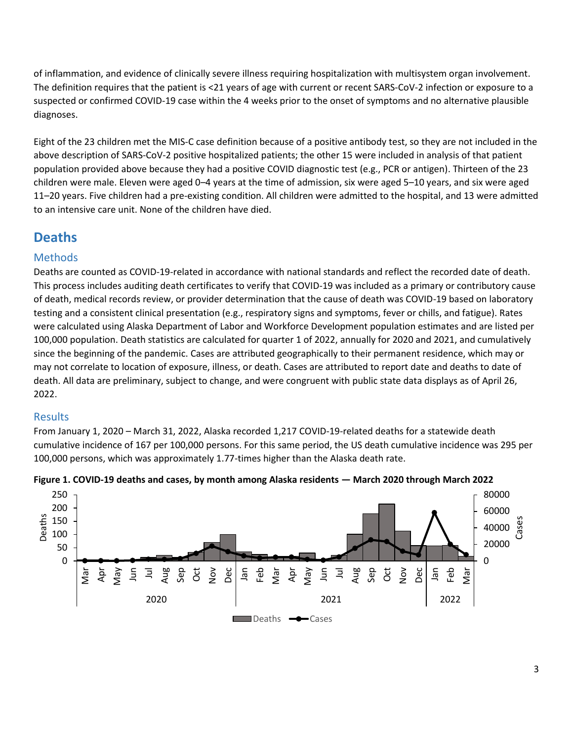of inflammation, and evidence of clinically severe illness requiring hospitalization with multisystem organ involvement. The definition requires that the patient is <21 years of age with current or recent SARS-CoV-2 infection or exposure to a suspected or confirmed COVID-19 case within the 4 weeks prior to the onset of symptoms and no alternative plausible diagnoses.

Eight of the 23 children met the MIS-C case definition because of a positive antibody test, so they are not included in the above description of SARS-CoV-2 positive hospitalized patients; the other 15 were included in analysis of that patient population provided above because they had a positive COVID diagnostic test (e.g., PCR or antigen). Thirteen of the 23 children were male. Eleven were aged 0–4 years at the time of admission, six were aged 5–10 years, and six were aged 11–20 years. Five children had a pre-existing condition. All children were admitted to the hospital, and 13 were admitted to an intensive care unit. None of the children have died.

# **Deaths**

# **Methods**

Deaths are counted as COVID-19-related in accordance with national standards and reflect the recorded date of death. This process includes auditing death certificates to verify that COVID-19 was included as a primary or contributory cause of death, medical records review, or provider determination that the cause of death was COVID-19 based on laboratory testing and a consistent clinical presentation (e.g., respiratory signs and symptoms, fever or chills, and fatigue). Rates were calculated using Alaska Department of Labor and Workforce Development population estimates and are listed per 100,000 population. Death statistics are calculated for quarter 1 of 2022, annually for 2020 and 2021, and cumulatively since the beginning of the pandemic. Cases are attributed geographically to their permanent residence, which may or may not correlate to location of exposure, illness, or death. Cases are attributed to report date and deaths to date of death. All data are preliminary, subject to change, and were congruent with public state data displays as of April 26, 2022.

# Results

From January 1, 2020 – March 31, 2022, Alaska recorded 1,217 COVID-19-related deaths for a statewide death cumulative incidence of 167 per 100,000 persons. For this same period, the US death cumulative incidence was 295 per 100,000 persons, which was approximately 1.77-times higher than the Alaska death rate.



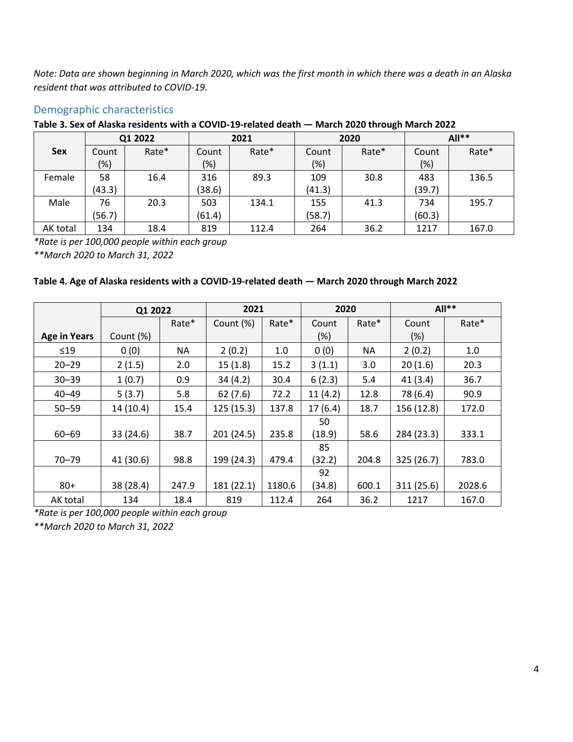*Note: Data are shown beginning in March 2020, which was the first month in which there was a death in an Alaska resident that was attributed to COVID-19.*

## Demographic characteristics

#### **Table 3. Sex of Alaska residents with a COVID-19-related death — March 2020 through March 2022**

|            | Q1 2022 |       | 2021   |       |        | 2020  | $All**$ |       |
|------------|---------|-------|--------|-------|--------|-------|---------|-------|
| <b>Sex</b> | Count   | Rate* | Count  | Rate* | Count  | Rate* | Count   | Rate* |
|            | $(\%)$  |       | $(\%)$ |       | (%)    |       | $(\%)$  |       |
| Female     | 58      | 16.4  | 316    | 89.3  | 109    | 30.8  | 483     | 136.5 |
|            | (43.3)  |       | (38.6) |       | (41.3) |       | (39.7)  |       |
| Male       | 76      | 20.3  | 503    | 134.1 | 155    | 41.3  | 734     | 195.7 |
|            | (56.7)  |       | (61.4) |       | (58.7) |       | (60.3)  |       |
| AK total   | 134     | 18.4  | 819    | 112.4 | 264    | 36.2  | 1217    | 167.0 |

*\*Rate is per 100,000 people within each group*

*\*\*March 2020 to March 31, 2022*

#### **Table 4. Age of Alaska residents with a COVID-19-related death — March 2020 through March 2022**

|                     | Q1 2022   |       | 2021         |        | 2020         |           |            | $All**$ |
|---------------------|-----------|-------|--------------|--------|--------------|-----------|------------|---------|
|                     |           | Rate* | Count $(\%)$ | Rate*  | Count        | Rate*     | Count      | Rate*   |
| <b>Age in Years</b> | Count (%) |       |              |        | $(\%)$       |           | $(\%)$     |         |
| $\leq 19$           | 0(0)      | ΝA    | 2(0.2)       | 1.0    | 0(0)         | <b>NA</b> | 2(0.2)     | 1.0     |
| $20 - 29$           | 2(1.5)    | 2.0   | 15(1.8)      | 15.2   | 3(1.1)       | 3.0       | 20(1.6)    | 20.3    |
| $30 - 39$           | 1(0.7)    | 0.9   | 34(4.2)      | 30.4   | 6(2.3)       | 5.4       | 41(3.4)    | 36.7    |
| $40 - 49$           | 5(3.7)    | 5.8   | 62(7.6)      | 72.2   | 11(4.2)      | 12.8      | 78 (6.4)   | 90.9    |
| $50 - 59$           | 14(10.4)  | 15.4  | 125 (15.3)   | 137.8  | 17(6.4)      | 18.7      | 156 (12.8) | 172.0   |
| $60 - 69$           | 33 (24.6) | 38.7  | 201 (24.5)   | 235.8  | 50<br>(18.9) | 58.6      | 284 (23.3) | 333.1   |
|                     |           |       |              |        | 85           |           |            |         |
| $70 - 79$           | 41 (30.6) | 98.8  | 199 (24.3)   | 479.4  | (32.2)       | 204.8     | 325 (26.7) | 783.0   |
|                     |           |       |              |        | 92           |           |            |         |
| $80 +$              | 38 (28.4) | 247.9 | 181 (22.1)   | 1180.6 | (34.8)       | 600.1     | 311 (25.6) | 2028.6  |
| AK total            | 134       | 18.4  | 819          | 112.4  | 264          | 36.2      | 1217       | 167.0   |

*\*Rate is per 100,000 people within each group*

*\*\*March 2020 to March 31, 2022*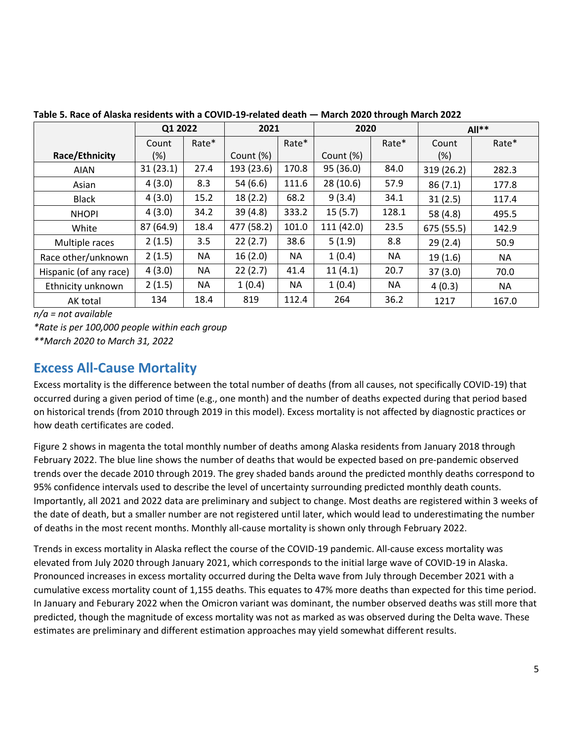|                        |           | Q1 2022 |            | 2021  | 2020       |       | $All**$    |           |
|------------------------|-----------|---------|------------|-------|------------|-------|------------|-----------|
|                        | Count     | Rate*   |            | Rate* |            | Rate* | Count      | Rate*     |
| Race/Ethnicity         | $(\%)$    |         | Count (%)  |       | Count (%)  |       | (%)        |           |
| <b>AIAN</b>            | 31(23.1)  | 27.4    | 193 (23.6) | 170.8 | 95 (36.0)  | 84.0  | 319 (26.2) | 282.3     |
| Asian                  | 4(3.0)    | 8.3     | 54 (6.6)   | 111.6 | 28(10.6)   | 57.9  | 86(7.1)    | 177.8     |
| <b>Black</b>           | 4(3.0)    | 15.2    | 18(2.2)    | 68.2  | 9(3.4)     | 34.1  | 31(2.5)    | 117.4     |
| <b>NHOPI</b>           | 4(3.0)    | 34.2    | 39(4.8)    | 333.2 | 15(5.7)    | 128.1 | 58 (4.8)   | 495.5     |
| White                  | 87 (64.9) | 18.4    | 477 (58.2) | 101.0 | 111 (42.0) | 23.5  | 675 (55.5) | 142.9     |
| Multiple races         | 2(1.5)    | 3.5     | 22(2.7)    | 38.6  | 5(1.9)     | 8.8   | 29(2.4)    | 50.9      |
| Race other/unknown     | 2(1.5)    | NA.     | 16(2.0)    | NA.   | 1(0.4)     | NA.   | 19(1.6)    | <b>NA</b> |
| Hispanic (of any race) | 4(3.0)    | NA.     | 22(2.7)    | 41.4  | 11(4.1)    | 20.7  | 37(3.0)    | 70.0      |
| Ethnicity unknown      | 2(1.5)    | NA.     | 1(0.4)     | NA.   | 1(0.4)     | NA.   | 4(0.3)     | NA        |
| AK total               | 134       | 18.4    | 819        | 112.4 | 264        | 36.2  | 1217       | 167.0     |

**Table 5. Race of Alaska residents with a COVID-19-related death — March 2020 through March 2022**

*n/a = not available*

*\*Rate is per 100,000 people within each group \*\*March 2020 to March 31, 2022*

# **Excess All-Cause Mortality**

Excess mortality is the difference between the total number of deaths (from all causes, not specifically COVID-19) that occurred during a given period of time (e.g., one month) and the number of deaths expected during that period based on historical trends (from 2010 through 2019 in this model). Excess mortality is not affected by diagnostic practices or how death certificates are coded.

Figure 2 shows in magenta the total monthly number of deaths among Alaska residents from January 2018 through February 2022. The blue line shows the number of deaths that would be expected based on pre-pandemic observed trends over the decade 2010 through 2019. The grey shaded bands around the predicted monthly deaths correspond to 95% confidence intervals used to describe the level of uncertainty surrounding predicted monthly death counts. Importantly, all 2021 and 2022 data are preliminary and subject to change. Most deaths are registered within 3 weeks of the date of death, but a smaller number are not registered until later, which would lead to underestimating the number of deaths in the most recent months. Monthly all-cause mortality is shown only through February 2022.

Trends in excess mortality in Alaska reflect the course of the COVID-19 pandemic. All-cause excess mortality was elevated from July 2020 through January 2021, which corresponds to the initial large wave of COVID-19 in Alaska. Pronounced increases in excess mortality occurred during the Delta wave from July through December 2021 with a cumulative excess mortality count of 1,155 deaths. This equates to 47% more deaths than expected for this time period. In January and Feburary 2022 when the Omicron variant was dominant, the number observed deaths was still more that predicted, though the magnitude of excess mortality was not as marked as was observed during the Delta wave. These estimates are preliminary and different estimation approaches may yield somewhat different results.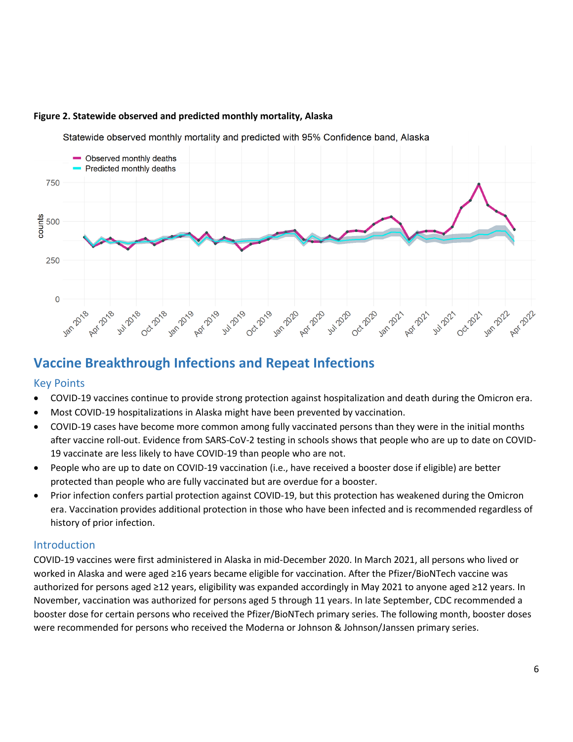

#### **Figure 2. Statewide observed and predicted monthly mortality, Alaska**

Statewide observed monthly mortality and predicted with 95% Confidence band, Alaska

# **Vaccine Breakthrough Infections and Repeat Infections**

#### Key Points

- COVID-19 vaccines continue to provide strong protection against hospitalization and death during the Omicron era.
- Most COVID-19 hospitalizations in Alaska might have been prevented by vaccination.
- COVID-19 cases have become more common among fully vaccinated persons than they were in the initial months after vaccine roll-out. Evidence from SARS-CoV-2 testing in schools shows that people who are up to date on COVID-19 vaccinate are less likely to have COVID-19 than people who are not.
- People who are up to date on COVID-19 vaccination (i.e., have received a booster dose if eligible) are better protected than people who are fully vaccinated but are overdue for a booster.
- Prior infection confers partial protection against COVID-19, but this protection has weakened during the Omicron era. Vaccination provides additional protection in those who have been infected and is recommended regardless of history of prior infection.

#### Introduction

COVID-19 vaccines were first administered in Alaska in mid-December 2020. In March 2021, all persons who lived or worked in Alaska and were aged ≥16 years became eligible for vaccination. After the Pfizer/BioNTech vaccine was authorized for persons aged ≥12 years, eligibility was expanded accordingly in May 2021 to anyone aged ≥12 years. In November, vaccination was authorized for persons aged 5 through 11 years. In late September, CDC recommended a booster dose for certain persons who received the Pfizer/BioNTech primary series. The following month, booster doses were recommended for persons who received the Moderna or Johnson & Johnson/Janssen primary series.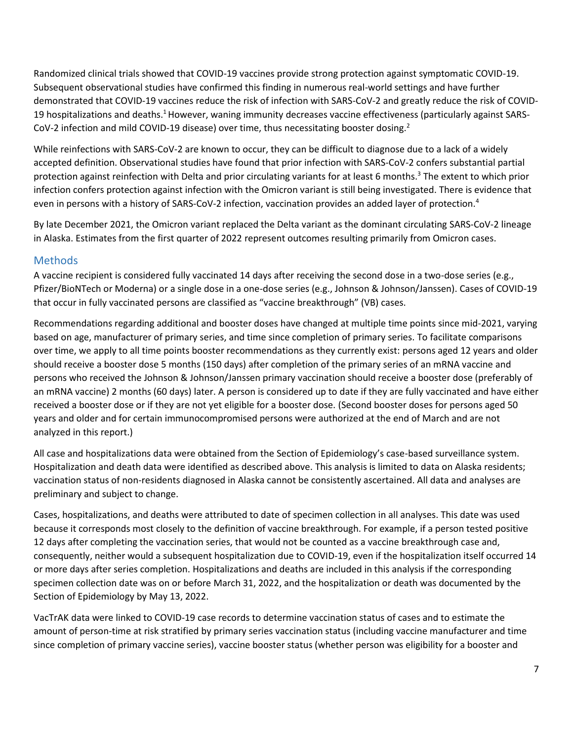Randomized clinical trials showed that COVID-19 vaccines provide strong protection against symptomatic COVID-19. Subsequent observational studies have confirmed this finding in numerous real-world settings and have further demonstrated that COVID-19 vaccines reduce the risk of infection with SARS-CoV-2 and greatly reduce the risk of COVID-19 hospitalizations and deaths.<sup>1</sup> However, waning immunity decreases vaccine effectiveness (particularly against SARS-CoV-2 infection and mild COVID-19 disease) over time, thus necessitating booster dosing.<sup>2</sup>

While reinfections with SARS-CoV-2 are known to occur, they can be difficult to diagnose due to a lack of a widely accepted definition. Observational studies have found that prior infection with SARS-CoV-2 confers substantial partial protection against reinfection with Delta and prior circulating variants for at least 6 months.<sup>3</sup> The extent to which prior infection confers protection against infection with the Omicron variant is still being investigated. There is evidence that even in persons with a history of SARS-CoV-2 infection, vaccination provides an added layer of protection.<sup>4</sup>

By late December 2021, the Omicron variant replaced the Delta variant as the dominant circulating SARS-CoV-2 lineage in Alaska. Estimates from the first quarter of 2022 represent outcomes resulting primarily from Omicron cases.

# **Methods**

A vaccine recipient is considered fully vaccinated 14 days after receiving the second dose in a two-dose series (e.g., Pfizer/BioNTech or Moderna) or a single dose in a one-dose series (e.g., Johnson & Johnson/Janssen). Cases of COVID-19 that occur in fully vaccinated persons are classified as "vaccine breakthrough" (VB) cases.

Recommendations regarding additional and booster doses have changed at multiple time points since mid-2021, varying based on age, manufacturer of primary series, and time since completion of primary series. To facilitate comparisons over time, we apply to all time points booster recommendations as they currently exist: persons aged 12 years and older should receive a booster dose 5 months (150 days) after completion of the primary series of an mRNA vaccine and persons who received the Johnson & Johnson/Janssen primary vaccination should receive a booster dose (preferably of an mRNA vaccine) 2 months (60 days) later. A person is considered up to date if they are fully vaccinated and have either received a booster dose or if they are not yet eligible for a booster dose. (Second booster doses for persons aged 50 years and older and for certain immunocompromised persons were authorized at the end of March and are not analyzed in this report.)

All case and hospitalizations data were obtained from the Section of Epidemiology's case-based surveillance system. Hospitalization and death data were identified as described above. This analysis is limited to data on Alaska residents; vaccination status of non-residents diagnosed in Alaska cannot be consistently ascertained. All data and analyses are preliminary and subject to change.

Cases, hospitalizations, and deaths were attributed to date of specimen collection in all analyses. This date was used because it corresponds most closely to the definition of vaccine breakthrough. For example, if a person tested positive 12 days after completing the vaccination series, that would not be counted as a vaccine breakthrough case and, consequently, neither would a subsequent hospitalization due to COVID-19, even if the hospitalization itself occurred 14 or more days after series completion. Hospitalizations and deaths are included in this analysis if the corresponding specimen collection date was on or before March 31, 2022, and the hospitalization or death was documented by the Section of Epidemiology by May 13, 2022.

VacTrAK data were linked to COVID-19 case records to determine vaccination status of cases and to estimate the amount of person-time at risk stratified by primary series vaccination status (including vaccine manufacturer and time since completion of primary vaccine series), vaccine booster status (whether person was eligibility for a booster and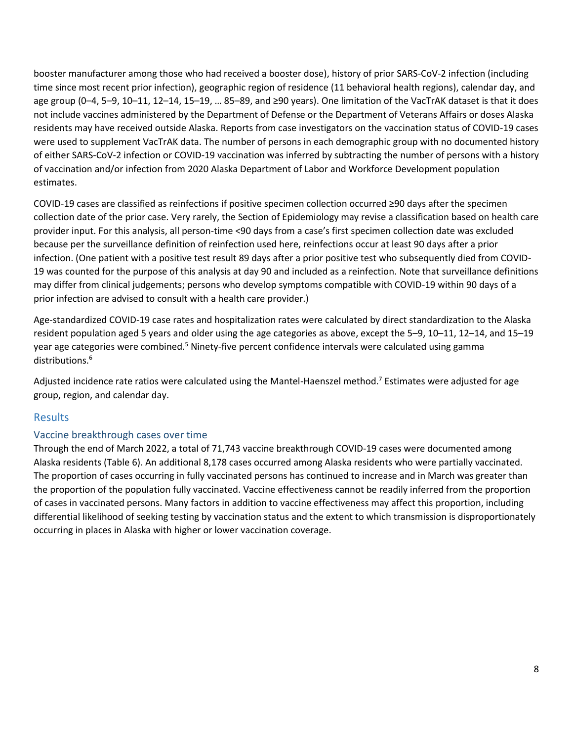booster manufacturer among those who had received a booster dose), history of prior SARS-CoV-2 infection (including time since most recent prior infection), geographic region of residence (11 behavioral health regions), calendar day, and age group (0–4, 5–9, 10–11, 12–14, 15–19, … 85–89, and ≥90 years). One limitation of the VacTrAK dataset is that it does not include vaccines administered by the Department of Defense or the Department of Veterans Affairs or doses Alaska residents may have received outside Alaska. Reports from case investigators on the vaccination status of COVID-19 cases were used to supplement VacTrAK data. The number of persons in each demographic group with no documented history of either SARS-CoV-2 infection or COVID-19 vaccination was inferred by subtracting the number of persons with a history of vaccination and/or infection from 2020 Alaska Department of Labor and Workforce Development population estimates.

COVID-19 cases are classified as reinfections if positive specimen collection occurred ≥90 days after the specimen collection date of the prior case. Very rarely, the Section of Epidemiology may revise a classification based on health care provider input. For this analysis, all person-time <90 days from a case's first specimen collection date was excluded because per the surveillance definition of reinfection used here, reinfections occur at least 90 days after a prior infection. (One patient with a positive test result 89 days after a prior positive test who subsequently died from COVID-19 was counted for the purpose of this analysis at day 90 and included as a reinfection. Note that surveillance definitions may differ from clinical judgements; persons who develop symptoms compatible with COVID-19 within 90 days of a prior infection are advised to consult with a health care provider.)

Age-standardized COVID-19 case rates and hospitalization rates were calculated by direct standardization to the Alaska resident population aged 5 years and older using the age categories as above, except the 5–9, 10–11, 12–14, and 15–19 year age categories were combined.<sup>5</sup> Ninety-five percent confidence intervals were calculated using gamma distributions.<sup>6</sup>

Adjusted incidence rate ratios were calculated using the Mantel-Haenszel method.<sup>7</sup> Estimates were adjusted for age group, region, and calendar day.

## Results

#### Vaccine breakthrough cases over time

Through the end of March 2022, a total of 71,743 vaccine breakthrough COVID-19 cases were documented among Alaska residents (Table 6). An additional 8,178 cases occurred among Alaska residents who were partially vaccinated. The proportion of cases occurring in fully vaccinated persons has continued to increase and in March was greater than the proportion of the population fully vaccinated. Vaccine effectiveness cannot be readily inferred from the proportion of cases in vaccinated persons. Many factors in addition to vaccine effectiveness may affect this proportion, including differential likelihood of seeking testing by vaccination status and the extent to which transmission is disproportionately occurring in places in Alaska with higher or lower vaccination coverage.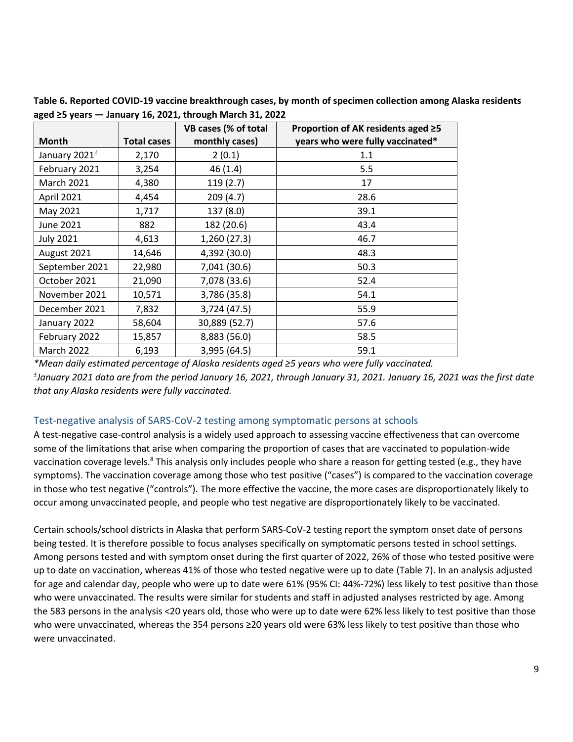|                           |                    | VB cases (% of total | Proportion of AK residents aged ≥5 |
|---------------------------|--------------------|----------------------|------------------------------------|
| <b>Month</b>              | <b>Total cases</b> | monthly cases)       | years who were fully vaccinated*   |
| January 2021 <sup>+</sup> | 2,170              | 2(0.1)               | 1.1                                |
| February 2021             | 3,254              | 46(1.4)              | 5.5                                |
| <b>March 2021</b>         | 4,380              | 119(2.7)             | 17                                 |
| April 2021                | 4,454              | 209(4.7)             | 28.6                               |
| May 2021                  | 1,717              | 137 (8.0)            | 39.1                               |
| June 2021                 | 882                | 182 (20.6)           | 43.4                               |
| <b>July 2021</b>          | 4,613              | 1,260 (27.3)         | 46.7                               |
| August 2021               | 14,646             | 4,392 (30.0)         | 48.3                               |
| September 2021            | 22,980             | 7,041 (30.6)         | 50.3                               |
| October 2021              | 21,090             | 7,078 (33.6)         | 52.4                               |
| November 2021             | 10,571             | 3,786 (35.8)         | 54.1                               |
| December 2021             | 7,832              | 3,724(47.5)          | 55.9                               |
| January 2022              | 58,604             | 30,889 (52.7)        | 57.6                               |
| February 2022             | 15,857             | 8,883 (56.0)         | 58.5                               |
| March 2022                | 6,193              | 3,995 (64.5)         | 59.1                               |

**Table 6. Reported COVID-19 vaccine breakthrough cases, by month of specimen collection among Alaska residents aged ≥5 years — January 16, 2021, through March 31, 2022**

*\*Mean daily estimated percentage of Alaska residents aged ≥5 years who were fully vaccinated. ± January 2021 data are from the period January 16, 2021, through January 31, 2021. January 16, 2021 was the first date that any Alaska residents were fully vaccinated.*

#### Test-negative analysis of SARS-CoV-2 testing among symptomatic persons at schools

A test-negative case-control analysis is a widely used approach to assessing vaccine effectiveness that can overcome some of the limitations that arise when comparing the proportion of cases that are vaccinated to population-wide vaccination coverage levels.<sup>8</sup> This analysis only includes people who share a reason for getting tested (e.g., they have symptoms). The vaccination coverage among those who test positive ("cases") is compared to the vaccination coverage in those who test negative ("controls"). The more effective the vaccine, the more cases are disproportionately likely to occur among unvaccinated people, and people who test negative are disproportionately likely to be vaccinated.

Certain schools/school districts in Alaska that perform SARS-CoV-2 testing report the symptom onset date of persons being tested. It is therefore possible to focus analyses specifically on symptomatic persons tested in school settings. Among persons tested and with symptom onset during the first quarter of 2022, 26% of those who tested positive were up to date on vaccination, whereas 41% of those who tested negative were up to date (Table 7). In an analysis adjusted for age and calendar day, people who were up to date were 61% (95% CI: 44%-72%) less likely to test positive than those who were unvaccinated. The results were similar for students and staff in adjusted analyses restricted by age. Among the 583 persons in the analysis <20 years old, those who were up to date were 62% less likely to test positive than those who were unvaccinated, whereas the 354 persons ≥20 years old were 63% less likely to test positive than those who were unvaccinated.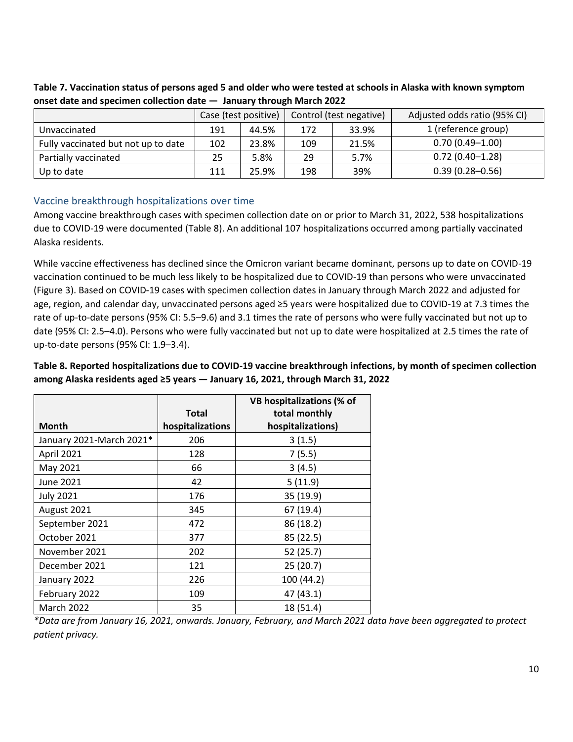|                                     | Case (test positive) |       | Control (test negative) |       | Adjusted odds ratio (95% CI) |  |
|-------------------------------------|----------------------|-------|-------------------------|-------|------------------------------|--|
| Unvaccinated                        | 191                  | 44.5% | 172                     | 33.9% | 1 (reference group)          |  |
| Fully vaccinated but not up to date | 102                  | 23.8% | 109                     | 21.5% | $0.70(0.49 - 1.00)$          |  |
| Partially vaccinated                | 25                   | 5.8%  | 29                      | 5.7%  | $0.72(0.40 - 1.28)$          |  |
| Up to date                          | 111                  | 25.9% | 198                     | 39%   | $0.39(0.28 - 0.56)$          |  |

**Table 7. Vaccination status of persons aged 5 and older who were tested at schools in Alaska with known symptom onset date and specimen collection date — January through March 2022**

#### Vaccine breakthrough hospitalizations over time

Among vaccine breakthrough cases with specimen collection date on or prior to March 31, 2022, 538 hospitalizations due to COVID-19 were documented (Table 8). An additional 107 hospitalizations occurred among partially vaccinated Alaska residents.

While vaccine effectiveness has declined since the Omicron variant became dominant, persons up to date on COVID-19 vaccination continued to be much less likely to be hospitalized due to COVID-19 than persons who were unvaccinated (Figure 3). Based on COVID-19 cases with specimen collection dates in January through March 2022 and adjusted for age, region, and calendar day, unvaccinated persons aged ≥5 years were hospitalized due to COVID-19 at 7.3 times the rate of up-to-date persons (95% CI: 5.5–9.6) and 3.1 times the rate of persons who were fully vaccinated but not up to date (95% CI: 2.5–4.0). Persons who were fully vaccinated but not up to date were hospitalized at 2.5 times the rate of up-to-date persons (95% CI: 1.9–3.4).

#### **Table 8. Reported hospitalizations due to COVID-19 vaccine breakthrough infections, by month of specimen collection among Alaska residents aged ≥5 years — January 16, 2021, through March 31, 2022**

|                          | <b>Total</b>     | <b>VB hospitalizations (% of</b><br>total monthly |
|--------------------------|------------------|---------------------------------------------------|
| <b>Month</b>             | hospitalizations | hospitalizations)                                 |
| January 2021-March 2021* | 206              | 3(1.5)                                            |
| April 2021               | 128              | 7(5.5)                                            |
| May 2021                 | 66               | 3(4.5)                                            |
| June 2021                | 42               | 5(11.9)                                           |
| <b>July 2021</b>         | 176              | 35 (19.9)                                         |
| August 2021              | 345              | 67 (19.4)                                         |
| September 2021           | 472              | 86 (18.2)                                         |
| October 2021             | 377              | 85 (22.5)                                         |
| November 2021            | 202              | 52 (25.7)                                         |
| December 2021            | 121              | 25(20.7)                                          |
| January 2022             | 226              | 100 (44.2)                                        |
| February 2022            | 109              | 47 (43.1)                                         |
| <b>March 2022</b>        | 35               | 18 (51.4)                                         |

*\*Data are from January 16, 2021, onwards. January, February, and March 2021 data have been aggregated to protect patient privacy.*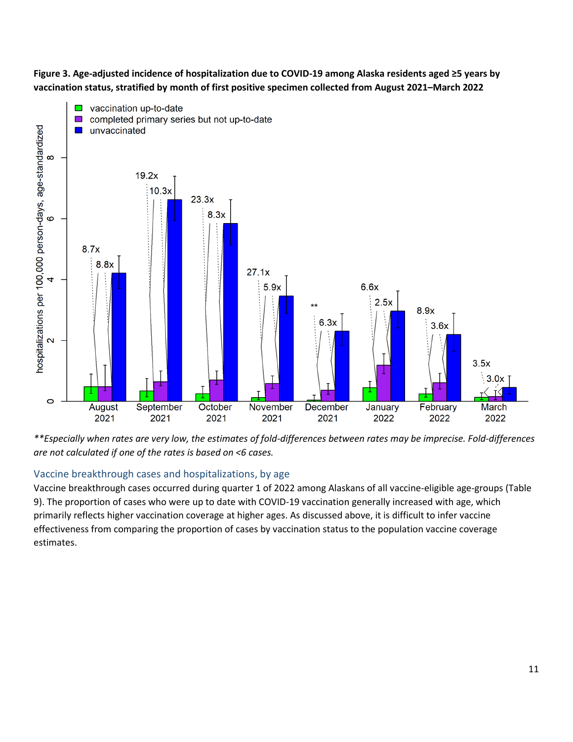**Figure 3. Age-adjusted incidence of hospitalization due to COVID-19 among Alaska residents aged ≥5 years by vaccination status, stratified by month of first positive specimen collected from August 2021–March 2022** 



*\*\*Especially when rates are very low, the estimates of fold-differences between rates may be imprecise. Fold-differences are not calculated if one of the rates is based on <6 cases.*

## Vaccine breakthrough cases and hospitalizations, by age

Vaccine breakthrough cases occurred during quarter 1 of 2022 among Alaskans of all vaccine-eligible age-groups (Table 9). The proportion of cases who were up to date with COVID-19 vaccination generally increased with age, which primarily reflects higher vaccination coverage at higher ages. As discussed above, it is difficult to infer vaccine effectiveness from comparing the proportion of cases by vaccination status to the population vaccine coverage estimates.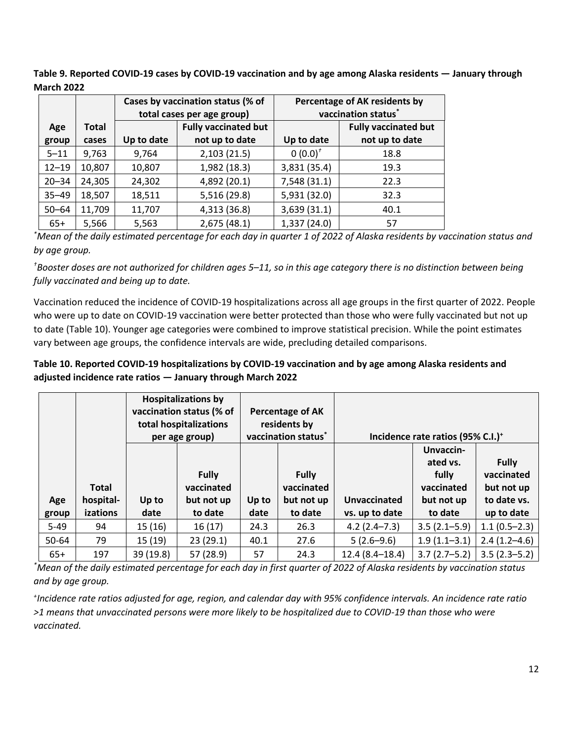**Table 9. Reported COVID-19 cases by COVID-19 vaccination and by age among Alaska residents — January through March 2022**

|           |              |            | Cases by vaccination status (% of<br>total cases per age group) | Percentage of AK residents by<br>vaccination status <sup>*</sup> |                             |  |  |
|-----------|--------------|------------|-----------------------------------------------------------------|------------------------------------------------------------------|-----------------------------|--|--|
| Age       | <b>Total</b> |            | <b>Fully vaccinated but</b>                                     |                                                                  | <b>Fully vaccinated but</b> |  |  |
| group     | cases        | Up to date | not up to date                                                  | Up to date                                                       | not up to date              |  |  |
| $5 - 11$  | 9,763        | 9,764      | 2,103(21.5)                                                     | $0(0.0)^{t}$                                                     | 18.8                        |  |  |
| $12 - 19$ | 10,807       | 10,807     | 1,982 (18.3)                                                    | 3,831 (35.4)                                                     | 19.3                        |  |  |
| $20 - 34$ | 24,305       | 24,302     | 4,892 (20.1)                                                    | 7,548 (31.1)                                                     | 22.3                        |  |  |
| $35 - 49$ | 18,507       | 18,511     | 5,516 (29.8)                                                    | 5,931 (32.0)                                                     | 32.3                        |  |  |
| $50 - 64$ | 11,709       | 11,707     | 4,313 (36.8)                                                    | 3,639 (31.1)                                                     | 40.1                        |  |  |
| $65+$     | 5,566        | 5,563      | 2,675 (48.1)                                                    | 1,337 (24.0)                                                     | 57                          |  |  |

*\*Mean of the daily estimated percentage for each day in quarter 1 of 2022 of Alaska residents by vaccination status and by age group.*

*†Booster doses are not authorized for children ages 5–11, so in this age category there is no distinction between being fully vaccinated and being up to date.* 

Vaccination reduced the incidence of COVID-19 hospitalizations across all age groups in the first quarter of 2022. People who were up to date on COVID-19 vaccination were better protected than those who were fully vaccinated but not up to date (Table 10). Younger age categories were combined to improve statistical precision. While the point estimates vary between age groups, the confidence intervals are wide, precluding detailed comparisons.

## **Table 10. Reported COVID-19 hospitalizations by COVID-19 vaccination and by age among Alaska residents and adjusted incidence rate ratios — January through March 2022**

|        |                           |           | <b>Hospitalizations by</b><br>vaccination status (% of<br>Percentage of AK<br>total hospitalizations<br>residents by<br>vaccination status <sup>*</sup><br>per age group) |       | Incidence rate ratios (95% C.I.) <sup>+</sup> |                    |                                                            |                                                         |
|--------|---------------------------|-----------|---------------------------------------------------------------------------------------------------------------------------------------------------------------------------|-------|-----------------------------------------------|--------------------|------------------------------------------------------------|---------------------------------------------------------|
| Age    | <b>Total</b><br>hospital- | Up to     | <b>Fully</b><br>vaccinated<br>but not up                                                                                                                                  | Up to | <b>Fully</b><br>vaccinated<br>but not up      | Unvaccinated       | Unvaccin-<br>ated vs.<br>fully<br>vaccinated<br>but not up | <b>Fully</b><br>vaccinated<br>but not up<br>to date vs. |
| group  | izations                  | date      | to date                                                                                                                                                                   | date  | to date                                       | vs. up to date     | to date                                                    | up to date                                              |
| $5-49$ | 94                        | 15 (16)   | 16(17)                                                                                                                                                                    | 24.3  | 26.3                                          | $4.2(2.4 - 7.3)$   | $3.5(2.1 - 5.9)$                                           | $1.1(0.5-2.3)$                                          |
| 50-64  | 79                        | 15(19)    | 23(29.1)                                                                                                                                                                  | 40.1  | 27.6                                          | $5(2.6-9.6)$       | $1.9(1.1-3.1)$                                             | $2.4(1.2 - 4.6)$                                        |
| $65+$  | 197                       | 39 (19.8) | 57 (28.9)                                                                                                                                                                 | 57    | 24.3                                          | $12.4(8.4 - 18.4)$ | $3.7(2.7-5.2)$                                             | $3.5(2.3-5.2)$                                          |

*\*Mean of the daily estimated percentage for each day in first quarter of 2022 of Alaska residents by vaccination status and by age group.* 

*+ Incidence rate ratios adjusted for age, region, and calendar day with 95% confidence intervals. An incidence rate ratio >1 means that unvaccinated persons were more likely to be hospitalized due to COVID-19 than those who were vaccinated.*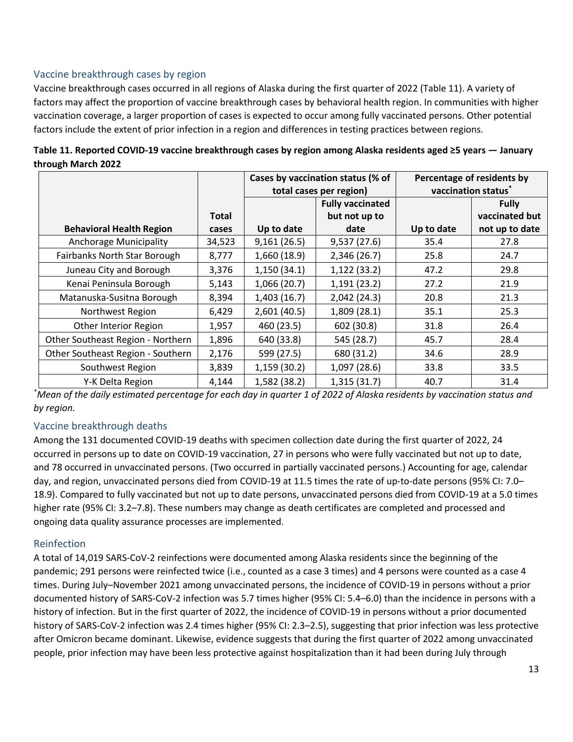### Vaccine breakthrough cases by region

Vaccine breakthrough cases occurred in all regions of Alaska during the first quarter of 2022 (Table 11). A variety of factors may affect the proportion of vaccine breakthrough cases by behavioral health region. In communities with higher vaccination coverage, a larger proportion of cases is expected to occur among fully vaccinated persons. Other potential factors include the extent of prior infection in a region and differences in testing practices between regions.

|                                   |              | Cases by vaccination status (% of<br>total cases per region) |                         |            | Percentage of residents by<br>vaccination status <sup>*</sup> |
|-----------------------------------|--------------|--------------------------------------------------------------|-------------------------|------------|---------------------------------------------------------------|
|                                   |              |                                                              | <b>Fully vaccinated</b> |            | <b>Fully</b>                                                  |
|                                   | <b>Total</b> |                                                              | but not up to           |            | vaccinated but                                                |
| <b>Behavioral Health Region</b>   | cases        | Up to date                                                   | date                    | Up to date | not up to date                                                |
| Anchorage Municipality            | 34,523       | 9,161(26.5)                                                  | 9,537(27.6)             | 35.4       | 27.8                                                          |
| Fairbanks North Star Borough      | 8,777        | 1,660 (18.9)                                                 | 2,346 (26.7)            | 25.8       | 24.7                                                          |
| Juneau City and Borough           | 3,376        | 1,150(34.1)                                                  | 1,122(33.2)             | 47.2       | 29.8                                                          |
| Kenai Peninsula Borough           | 5,143        | 1,066 (20.7)                                                 | 1,191(23.2)             | 27.2       | 21.9                                                          |
| Matanuska-Susitna Borough         | 8,394        | 1,403(16.7)                                                  | 2,042 (24.3)            | 20.8       | 21.3                                                          |
| Northwest Region                  | 6,429        | 2,601(40.5)                                                  | 1,809 (28.1)            | 35.1       | 25.3                                                          |
| Other Interior Region             | 1,957        | 460 (23.5)                                                   | 602 (30.8)              | 31.8       | 26.4                                                          |
| Other Southeast Region - Northern | 1,896        | 640 (33.8)                                                   | 545 (28.7)              | 45.7       | 28.4                                                          |
| Other Southeast Region - Southern | 2,176        | 599 (27.5)                                                   | 680 (31.2)              | 34.6       | 28.9                                                          |
| Southwest Region                  | 3,839        | 1,159 (30.2)                                                 | 1,097 (28.6)            | 33.8       | 33.5                                                          |
| Y-K Delta Region                  | 4,144        | 1,582 (38.2)                                                 | 1,315(31.7)             | 40.7       | 31.4                                                          |

**Table 11. Reported COVID-19 vaccine breakthrough cases by region among Alaska residents aged ≥5 years — January through March 2022**

*\*Mean of the daily estimated percentage for each day in quarter 1 of 2022 of Alaska residents by vaccination status and by region.*

#### Vaccine breakthrough deaths

Among the 131 documented COVID-19 deaths with specimen collection date during the first quarter of 2022, 24 occurred in persons up to date on COVID-19 vaccination, 27 in persons who were fully vaccinated but not up to date, and 78 occurred in unvaccinated persons. (Two occurred in partially vaccinated persons.) Accounting for age, calendar day, and region, unvaccinated persons died from COVID-19 at 11.5 times the rate of up-to-date persons (95% CI: 7.0– 18.9). Compared to fully vaccinated but not up to date persons, unvaccinated persons died from COVID-19 at a 5.0 times higher rate (95% CI: 3.2–7.8). These numbers may change as death certificates are completed and processed and ongoing data quality assurance processes are implemented.

## Reinfection

A total of 14,019 SARS-CoV-2 reinfections were documented among Alaska residents since the beginning of the pandemic; 291 persons were reinfected twice (i.e., counted as a case 3 times) and 4 persons were counted as a case 4 times. During July–November 2021 among unvaccinated persons, the incidence of COVID-19 in persons without a prior documented history of SARS-CoV-2 infection was 5.7 times higher (95% CI: 5.4–6.0) than the incidence in persons with a history of infection. But in the first quarter of 2022, the incidence of COVID-19 in persons without a prior documented history of SARS-CoV-2 infection was 2.4 times higher (95% CI: 2.3–2.5), suggesting that prior infection was less protective after Omicron became dominant. Likewise, evidence suggests that during the first quarter of 2022 among unvaccinated people, prior infection may have been less protective against hospitalization than it had been during July through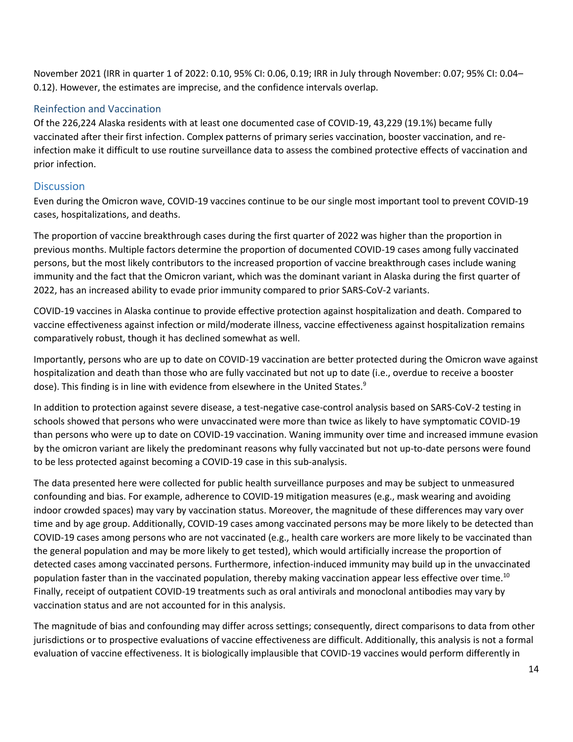November 2021 (IRR in quarter 1 of 2022: 0.10, 95% CI: 0.06, 0.19; IRR in July through November: 0.07; 95% CI: 0.04– 0.12). However, the estimates are imprecise, and the confidence intervals overlap.

#### Reinfection and Vaccination

Of the 226,224 Alaska residents with at least one documented case of COVID-19, 43,229 (19.1%) became fully vaccinated after their first infection. Complex patterns of primary series vaccination, booster vaccination, and reinfection make it difficult to use routine surveillance data to assess the combined protective effects of vaccination and prior infection.

#### **Discussion**

Even during the Omicron wave, COVID-19 vaccines continue to be our single most important tool to prevent COVID-19 cases, hospitalizations, and deaths.

The proportion of vaccine breakthrough cases during the first quarter of 2022 was higher than the proportion in previous months. Multiple factors determine the proportion of documented COVID-19 cases among fully vaccinated persons, but the most likely contributors to the increased proportion of vaccine breakthrough cases include waning immunity and the fact that the Omicron variant, which was the dominant variant in Alaska during the first quarter of 2022, has an increased ability to evade prior immunity compared to prior SARS-CoV-2 variants.

COVID-19 vaccines in Alaska continue to provide effective protection against hospitalization and death. Compared to vaccine effectiveness against infection or mild/moderate illness, vaccine effectiveness against hospitalization remains comparatively robust, though it has declined somewhat as well.

Importantly, persons who are up to date on COVID-19 vaccination are better protected during the Omicron wave against hospitalization and death than those who are fully vaccinated but not up to date (i.e., overdue to receive a booster dose). This finding is in line with evidence from elsewhere in the United States.<sup>9</sup>

In addition to protection against severe disease, a test-negative case-control analysis based on SARS-CoV-2 testing in schools showed that persons who were unvaccinated were more than twice as likely to have symptomatic COVID-19 than persons who were up to date on COVID-19 vaccination. Waning immunity over time and increased immune evasion by the omicron variant are likely the predominant reasons why fully vaccinated but not up-to-date persons were found to be less protected against becoming a COVID-19 case in this sub-analysis.

The data presented here were collected for public health surveillance purposes and may be subject to unmeasured confounding and bias. For example, adherence to COVID-19 mitigation measures (e.g., mask wearing and avoiding indoor crowded spaces) may vary by vaccination status. Moreover, the magnitude of these differences may vary over time and by age group. Additionally, COVID-19 cases among vaccinated persons may be more likely to be detected than COVID-19 cases among persons who are not vaccinated (e.g., health care workers are more likely to be vaccinated than the general population and may be more likely to get tested), which would artificially increase the proportion of detected cases among vaccinated persons. Furthermore, infection-induced immunity may build up in the unvaccinated population faster than in the vaccinated population, thereby making vaccination appear less effective over time.<sup>10</sup> Finally, receipt of outpatient COVID-19 treatments such as oral antivirals and monoclonal antibodies may vary by vaccination status and are not accounted for in this analysis.

The magnitude of bias and confounding may differ across settings; consequently, direct comparisons to data from other jurisdictions or to prospective evaluations of vaccine effectiveness are difficult. Additionally, this analysis is not a formal evaluation of vaccine effectiveness. It is biologically implausible that COVID-19 vaccines would perform differently in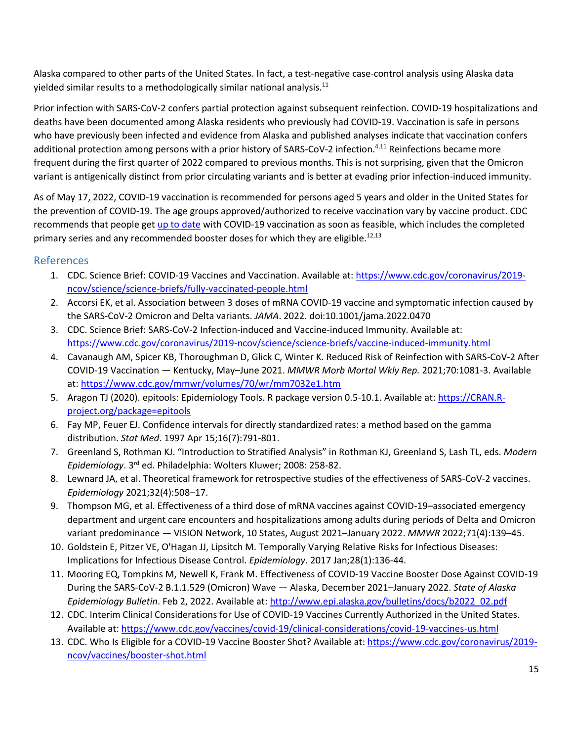Alaska compared to other parts of the United States. In fact, a test-negative case-control analysis using Alaska data yielded similar results to a methodologically similar national analysis.<sup>11</sup>

Prior infection with SARS-CoV-2 confers partial protection against subsequent reinfection. COVID-19 hospitalizations and deaths have been documented among Alaska residents who previously had COVID-19. Vaccination is safe in persons who have previously been infected and evidence from Alaska and published analyses indicate that vaccination confers additional protection among persons with a prior history of SARS-CoV-2 infection.<sup>4,11</sup> Reinfections became more frequent during the first quarter of 2022 compared to previous months. This is not surprising, given that the Omicron variant is antigenically distinct from prior circulating variants and is better at evading prior infection-induced immunity.

As of May 17, 2022, COVID-19 vaccination is recommended for persons aged 5 years and older in the United States for the prevention of COVID-19. The age groups approved/authorized to receive vaccination vary by vaccine product. CDC recommends that people get [up to date](https://www.cdc.gov/coronavirus/2019-ncov/vaccines/stay-up-to-date.html#recommendations) with COVID-19 vaccination as soon as feasible, which includes the completed primary series and any recommended booster doses for which they are eligible.<sup>12,13</sup>

## References

- 1. CDC. Science Brief: COVID-19 Vaccines and Vaccination. Available at: [https://www.cdc.gov/coronavirus/2019](https://www.cdc.gov/coronavirus/2019-ncov/science/science-briefs/fully-vaccinated-people.html) [ncov/science/science-briefs/fully-vaccinated-people.html](https://www.cdc.gov/coronavirus/2019-ncov/science/science-briefs/fully-vaccinated-people.html)
- 2. Accorsi EK, et al. Association between 3 doses of mRNA COVID-19 vaccine and symptomatic infection caused by the SARS-CoV-2 Omicron and Delta variants. *JAMA*. 2022. doi:10.1001/jama.2022.0470
- 3. CDC. Science Brief: SARS-CoV-2 Infection-induced and Vaccine-induced Immunity. Available at: <https://www.cdc.gov/coronavirus/2019-ncov/science/science-briefs/vaccine-induced-immunity.html>
- 4. Cavanaugh AM, Spicer KB, Thoroughman D, Glick C, Winter K. Reduced Risk of Reinfection with SARS-CoV-2 After COVID-19 Vaccination — Kentucky, May–June 2021. *MMWR Morb Mortal Wkly Rep.* 2021;70:1081-3. Available at:<https://www.cdc.gov/mmwr/volumes/70/wr/mm7032e1.htm>
- 5. Aragon TJ (2020). epitools: Epidemiology Tools. R package version 0.5-10.1. Available at: [https://CRAN.R](https://cran.r-project.org/package=epitools)[project.org/package=epitools](https://cran.r-project.org/package=epitools)
- 6. Fay MP, Feuer EJ. Confidence intervals for directly standardized rates: a method based on the gamma distribution. *Stat Med*. 1997 Apr 15;16(7):791-801.
- 7. Greenland S, Rothman KJ. "Introduction to Stratified Analysis" in Rothman KJ, Greenland S, Lash TL, eds. *Modern Epidemiology*. 3rd ed. Philadelphia: Wolters Kluwer; 2008: 258-82.
- 8. Lewnard JA, et al. Theoretical framework for retrospective studies of the effectiveness of SARS-CoV-2 vaccines. *Epidemiology* 2021;32(4):508–17.
- 9. Thompson MG, et al. Effectiveness of a third dose of mRNA vaccines against COVID-19–associated emergency department and urgent care encounters and hospitalizations among adults during periods of Delta and Omicron variant predominance — VISION Network, 10 States, August 2021–January 2022. *MMWR* 2022;71(4):139–45.
- 10. Goldstein E, Pitzer VE, O'Hagan JJ, Lipsitch M. Temporally Varying Relative Risks for Infectious Diseases: Implications for Infectious Disease Control. *Epidemiology*. 2017 Jan;28(1):136-44.
- 11. Mooring EQ, Tompkins M, Newell K, Frank M. Effectiveness of COVID-19 Vaccine Booster Dose Against COVID-19 During the SARS-CoV-2 B.1.1.529 (Omicron) Wave — Alaska, December 2021–January 2022. *State of Alaska Epidemiology Bulletin*. Feb 2, 2022. Available at: [http://www.epi.alaska.gov/bulletins/docs/b2022\\_02.pdf](http://www.epi.alaska.gov/bulletins/docs/b2022_02.pdf)
- 12. CDC. Interim Clinical Considerations for Use of COVID-19 Vaccines Currently Authorized in the United States. Available at[: https://www.cdc.gov/vaccines/covid-19/clinical-considerations/covid-19-vaccines-us.html](https://www.cdc.gov/vaccines/covid-19/clinical-considerations/covid-19-vaccines-us.html)
- 13. CDC. Who Is Eligible for a COVID-19 Vaccine Booster Shot? Available at: [https://www.cdc.gov/coronavirus/2019](https://www.cdc.gov/coronavirus/2019-ncov/vaccines/booster-shot.html) [ncov/vaccines/booster-shot.html](https://www.cdc.gov/coronavirus/2019-ncov/vaccines/booster-shot.html)